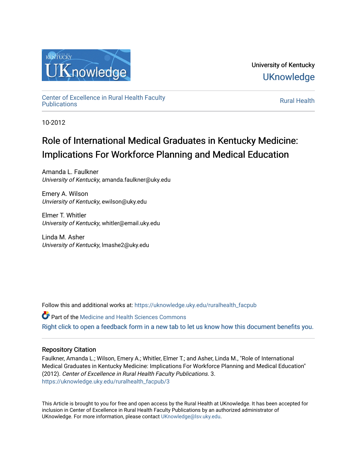

University of Kentucky **UKnowledge** 

[Center of Excellence in Rural Health Faculty](https://uknowledge.uky.edu/ruralhealth_facpub)  [Publications](https://uknowledge.uky.edu/ruralhealth_facpub) [Rural Health](https://uknowledge.uky.edu/ruralhealth) 

10-2012

# Role of International Medical Graduates in Kentucky Medicine: Implications For Workforce Planning and Medical Education

Amanda L. Faulkner University of Kentucky, amanda.faulkner@uky.edu

Emery A. Wilson Unviersity of Kentucky, ewilson@uky.edu

Elmer T. Whitler University of Kentucky, whitler@email.uky.edu

Linda M. Asher University of Kentucky, lmashe2@uky.edu

Follow this and additional works at: [https://uknowledge.uky.edu/ruralhealth\\_facpub](https://uknowledge.uky.edu/ruralhealth_facpub?utm_source=uknowledge.uky.edu%2Fruralhealth_facpub%2F3&utm_medium=PDF&utm_campaign=PDFCoverPages)

Part of the [Medicine and Health Sciences Commons](http://network.bepress.com/hgg/discipline/648?utm_source=uknowledge.uky.edu%2Fruralhealth_facpub%2F3&utm_medium=PDF&utm_campaign=PDFCoverPages)  [Right click to open a feedback form in a new tab to let us know how this document benefits you.](https://uky.az1.qualtrics.com/jfe/form/SV_9mq8fx2GnONRfz7)

#### Repository Citation

Faulkner, Amanda L.; Wilson, Emery A.; Whitler, Elmer T.; and Asher, Linda M., "Role of International Medical Graduates in Kentucky Medicine: Implications For Workforce Planning and Medical Education" (2012). Center of Excellence in Rural Health Faculty Publications. 3. [https://uknowledge.uky.edu/ruralhealth\\_facpub/3](https://uknowledge.uky.edu/ruralhealth_facpub/3?utm_source=uknowledge.uky.edu%2Fruralhealth_facpub%2F3&utm_medium=PDF&utm_campaign=PDFCoverPages)

This Article is brought to you for free and open access by the Rural Health at UKnowledge. It has been accepted for inclusion in Center of Excellence in Rural Health Faculty Publications by an authorized administrator of UKnowledge. For more information, please contact [UKnowledge@lsv.uky.edu](mailto:UKnowledge@lsv.uky.edu).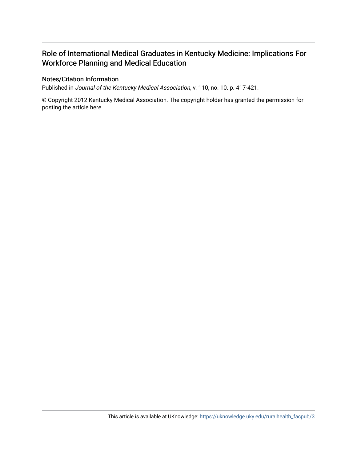## Role of International Medical Graduates in Kentucky Medicine: Implications For Workforce Planning and Medical Education

#### Notes/Citation Information

Published in Journal of the Kentucky Medical Association, v. 110, no. 10. p. 417-421.

© Copyright 2012 Kentucky Medical Association. The copyright holder has granted the permission for posting the article here.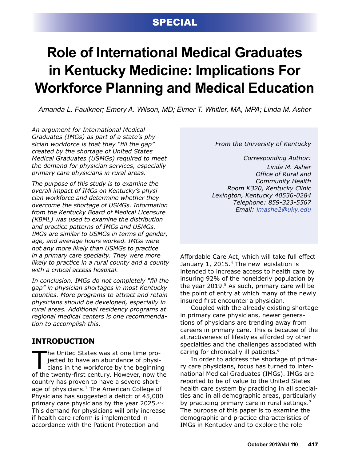# **SPECIAL**

# **Role of International Medical Graduates in Kentucky Medicine: Implications For Workforce Planning and Medical Education**

*Amanda L. Faulkner; Emery A. Wilson, MD; Elmer T. Whitler, MA, MPA; Linda M. Asher*

*An argument for International Medical Graduates (IMGs) as part of a state's physician workforce is that they "fill the gap" created by the shortage of United States Medical Graduates (USMGs) required to meet the demand for physician services, especially primary care physicians in rural areas.*

*The purpose of this study is to examine the overall impact of IMGs on Kentucky's physician workforce and determine whether they overcome the shortage of USMGs. Information from the Kentucky Board of Medical Licensure (KBML) was used to examine the distribution and practice patterns of IMGs and USMGs. IMGs are similar to USMGs in terms of gender, age, and average hours worked. IMGs were not any more likely than USMGs to practice in a primary care specialty. They were more likely to practice in a rural county and a county with a critical access hospital.*

*In conclusion, IMGs do not completely "fill the gap" in physician shortages in most Kentucky counties. More programs to attract and retain physicians should be developed, especially in rural areas. Additional residency programs at regional medical centers is one recommendation to accomplish this.*

## **INTRODUCTION**

The United States was at one time projected to have an abundance of physicians in the workforce by the beginning<br>of the twenty-first century, However, now the jected to have an abundance of physiof the twenty-first century. However, now the country has proven to have a severe shortage of physicians.<sup>1</sup> The American College of Physicians has suggested a deficit of 45,000 primary care physicians by the year  $2025.^{2-3}$ This demand for physicians will only increase if health care reform is implemented in accordance with the Patient Protection and

#### *From the University of Kentucky*

*Corresponding Author: Linda M. Asher Office of Rural and Community Health Room K320, Kentucky Clinic Lexington, Kentucky 40536-0284 Telephone: 859-323-5567 Email: [lmashe2@uky.edu](mailto:lmashe2%40uky.edu?subject=)*

Affordable Care Act, which will take full effect January 1, 2015.<sup>4</sup> The new legislation is intended to increase access to health care by insuring 92% of the nonelderly population by the year  $2019<sup>5</sup>$  As such, primary care will be the point of entry at which many of the newly insured first encounter a physician.

Coupled with the already existing shortage in primary care physicians, newer generations of physicians are trending away from careers in primary care. This is because of the attractiveness of lifestyles afforded by other specialties and the challenges associated with caring for chronically ill patients.6

In order to address the shortage of primary care physicians, focus has turned to international Medical Graduates (IMGs). IMGs are reported to be of value to the United States health care system by practicing in all specialties and in all demographic areas, particularly by practicing primary care in rural settings.<sup>7</sup> The purpose of this paper is to examine the demographic and practice characteristics of IMGs in Kentucky and to explore the role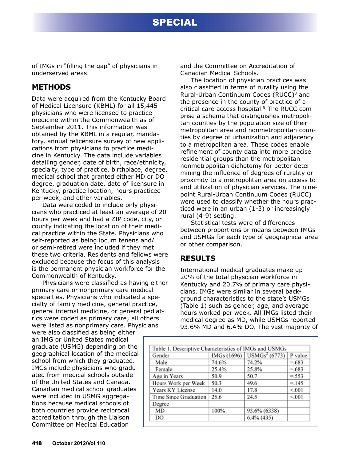# special

of IMGs in "filling the gap" of physicians in underserved areas.

## **METHODS**

Data were acquired from the Kentucky Board of Medical Licensure (KBML) for all 15,445 physicians who were licensed to practice medicine within the Commonwealth as of September 2011. This information was obtained by the KBML in a regular, mandatory, annual relicensure survey of new applications from physicians to practice medicine in Kentucky. The data include variables detailing gender, date of birth, race/ethnicity, specialty, type of practice, birthplace, degree, medical school that granted either MD or DO degree, graduation date, date of licensure in Kentucky, practice location, hours practiced per week, and other variables.

Data were coded to include only physicians who practiced at least an average of 20 hours per week and had a ZIP code, city, or county indicating the location of their medical practice within the State. Physicians who self-reported as being locum tenens and/ or semi-retired were included if they met these two criteria. Residents and fellows were excluded because the focus of this analysis is the permanent physician workforce for the Commonwealth of Kentucky.

Physicians were classified as having either primary care or nonprimary care medical specialties. Physicians who indicated a specialty of family medicine, general practice, general internal medicine, or general pediatrics were coded as primary care; all others were listed as nonprimary care. Physicians

were also classified as being either an IMG or United States medical graduate (USMG) depending on the geographical location of the medical school from which they graduated. IMGs include physicians who graduated from medical schools outside of the United States and Canada. Canadian medical school graduates were included in USMG aggregations because medical schools of both countries provide reciprocal accreditation through the Liaison Committee on Medical Education

and the Committee on Accreditation of Canadian Medical Schools.

The location of physician practices was also classified in terms of rurality using the Rural-Urban Continuum Codes (RUCC)<sup>8</sup> and the presence in the county of practice of a critical care access hospital.<sup>9</sup> The RUCC comprise a schema that distinguishes metropolitan counties by the population size of their metropolitan area and nonmetropolitan counties by degree of urbanization and adjacency to a metropolitan area. These codes enable refinement of county data into more precise residential groups than the metropolitannonmetropolitan dichotomy for better determining the influence of degrees of rurality or proximity to a metropolitan area on access to and utilization of physician services. The ninepoint Rural-Urban Continuum Codes (RUCC) were used to classify whether the hours practiced were in an urban (1-3) or increasingly rural (4-9) setting.

Statistical tests were of differences between proportions or means between IMGs and USMGs for each type of geographical area or other comparison.

### **RESULTS**

International medical graduates make up 20% of the total physician workforce in Kentucky and 20.7% of primary care physicians. IMGs were similar in several background characteristics to the state's USMGs (Table 1) such as gender, age, and average hours worked per week. All IMGs listed their medical degree as MD, while USMGs reported 93.6% MD and 6.4% DO. The vast majority of

| Gender                | IMGs (1696) | USMGs <sup>2</sup> (6773) | P value |
|-----------------------|-------------|---------------------------|---------|
| Male                  | 74.6%       | 74.2%                     | $=.683$ |
| Female                | 25.4%       | 25.8%                     | $=.683$ |
| Age in Years          | 50.9        | 50.7                      | $=.553$ |
| Hours Work per Week   | 50.3        | 49.6                      | $=.145$ |
| Years KY License      | 14.0        | 17.8                      | < 001   |
| Time Since Graduation | 25.6        | 24.5                      | < 001   |
| Degree                |             |                           |         |
| MD                    | 100%        | 93.6% (6338)              |         |
| DO                    |             | $6.4\%$ (435)             |         |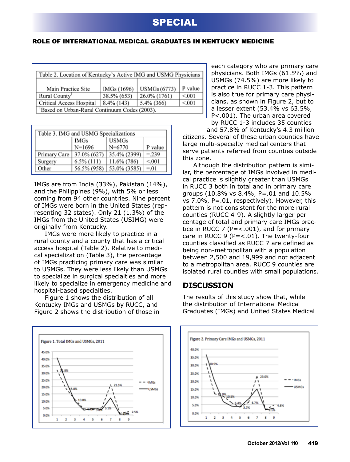#### role of international medical graduates in kentucky medicine

| Table 2. Location of Kentucky's Active IMG and USMG Physicians |             |                     |         |  |  |
|----------------------------------------------------------------|-------------|---------------------|---------|--|--|
| Main Practice Site                                             | IMGs (1696) | <b>USMGs</b> (6773) | P value |  |  |
| Rural County <sup>1</sup>                                      | 38.5% (653) | 26.0% (1761)        | < 001   |  |  |
| Critical Access Hospital                                       | 8.4% (143)  | 5.4% (366)          | < 001   |  |  |
| 'Based on Urban-Rural Continuum Codes (2003).                  |             |                     |         |  |  |

| Table 3. IMG and USMG Specializations |               |              |         |  |  |
|---------------------------------------|---------------|--------------|---------|--|--|
|                                       | <b>IMGs</b>   | <b>USMGs</b> |         |  |  |
|                                       | N=1696        | $N = 6770$   | P value |  |  |
| Primary Care                          | 37.0% (627)   | 35.4% (2399) | $=.239$ |  |  |
| Surgery                               | $6.5\%$ (111) | 11.6% (786)  | < 0.01  |  |  |
| Other                                 | 56.5% (958)   | 53.0% (3585) | $=.01$  |  |  |

IMGs are from India (33%), Pakistan (14%), and the Philippines (9%), with 5% or less coming from 94 other countries. Nine percent of IMGs were born in the United States (representing 32 states). Only 21 (1.3%) of the IMGs from the United States (USIMG) were originally from Kentucky.

IMGs were more likely to practice in a rural county and a county that has a critical access hospital (Table 2). Relative to medical specialization (Table 3), the percentage of IMGs practicing primary care was similar to USMGs. They were less likely than USMGs to specialize in surgical specialties and more likely to specialize in emergency medicine and hospital-based specialties.

Figure 1 shows the distribution of all Kentucky IMGs and USMGs by RUCC, and Figure 2 shows the distribution of those in



each category who are primary care physicians. Both IMGs (61.5%) and USMGs (74.5%) are more likely to practice in RUCC 1-3. This pattern is also true for primary care physicians, as shown in Figure 2, but to a lesser extent (53.4% vs 63.5%, P<.001). The urban area covered by RUCC 1-3 includes 35 counties and 57.8% of Kentucky's 4.3 million

citizens. Several of these urban counties have large multi-specialty medical centers that serve patients referred from counties outside this zone.

Although the distribution pattern is similar, the percentage of IMGs involved in medical practice is slightly greater than USMGs in RUCC 3 both in total and in primary care groups (10.8% vs 8.4%, P=.01 and 10.5% vs 7.0%, P=.01, respectively). However, this pattern is not consistent for the more rural counties (RUCC 4-9). A slightly larger percentage of total and primary care IMGs practice in RUCC 7 ( $P = < .001$ ), and for primary care in RUCC 9 ( $P = < .01$ ). The twenty-four counties classified as RUCC 7 are defined as being non-metropolitan with a population between 2,500 and 19,999 and not adjacent to a metropolitan area. RUCC 9 counties are isolated rural counties with small populations.

### **DISCUSSION**

The results of this study show that, while the distribution of International Medical Graduates (IMGs) and United States Medical

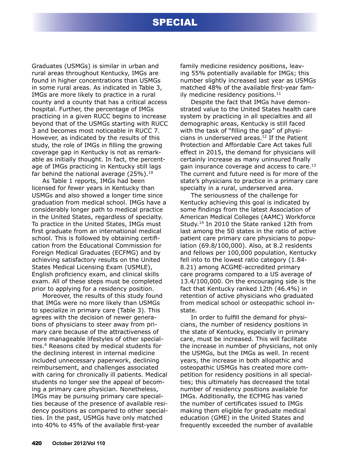## special

Graduates (USMGs) is similar in urban and rural areas throughout Kentucky, IMGs are found in higher concentrations than USMGs in some rural areas. As indicated in Table 3, IMGs are more likely to practice in a rural county and a county that has a critical access hospital. Further, the percentage of IMGs practicing in a given RUCC begins to increase beyond that of the USMGs starting with RUCC 3 and becomes most noticeable in RUCC 7. However, as indicated by the results of this study, the role of IMGs in filling the growing coverage gap in Kentucky is not as remarkable as initially thought. In fact, the percentage of IMGs practicing in Kentucky still lags far behind the national average  $(25\%)$ .<sup>10</sup>

As Table 1 reports, IMGs had been licensed for fewer years in Kentucky than USMGs and also showed a longer time since graduation from medical school. IMGs have a considerably longer path to medical practice in the United States, regardless of specialty. To practice in the United States, IMGs must first graduate from an international medical school. This is followed by obtaining certification from the Educational Commission for Foreign Medical Graduates (ECFMG) and by achieving satisfactory results on the United States Medical Licensing Exam (USMLE), English proficiency exam, and clinical skills exam. All of these steps must be completed prior to applying for a residency position.

Moreover, the results of this study found that IMGs were no more likely than USMGs to specialize in primary care (Table 3). This agrees with the decision of newer generations of physicians to steer away from primary care because of the attractiveness of more manageable lifestyles of other specialties.6 Reasons cited by medical students for the declining interest in internal medicine included unnecessary paperwork, declining reimbursement, and challenges associated with caring for chronically ill patients. Medical students no longer see the appeal of becoming a primary care physician. Nonetheless, IMGs may be pursuing primary care specialties because of the presence of available residency positions as compared to other specialties. In the past, USMGs have only matched into 40% to 45% of the available first-year

family medicine residency positions, leaving 55% potentially available for IMGs; this number slightly increased last year as USMGs matched 48% of the available first-year family medicine residency positions. $11$ 

Despite the fact that IMGs have demonstrated value to the United States health care system by practicing in all specialties and all demographic areas, Kentucky is still faced with the task of "filling the gap" of physicians in underserved areas. $12$  If the Patient Protection and Affordable Care Act takes full effect in 2015, the demand for physicians will certainly increase as many uninsured finally gain insurance coverage and access to care. $^{13}$ The current and future need is for more of the state's physicians to practice in a primary care specialty in a rural, underserved area.

The seriousness of the challenge for Kentucky achieving this goal is indicated by some findings from the latest Association of American Medical Colleges (AAMC) Workforce Study.14 In 2010 the State ranked 12th from last among the 50 states in the ratio of active patient care primary care physicians to population (69.8/100,000). Also, at 8.2 residents and fellows per 100,000 population, Kentucky fell into to the lowest ratio category (1.84- 8.21) among ACGME-accredited primary care programs compared to a US average of 13.4/100,000. On the encouraging side is the fact that Kentucky ranked 12th (46.4%) in retention of active physicians who graduated from medical school or osteopathic school instate.

In order to fulfill the demand for physicians, the number of residency positions in the state of Kentucky, especially in primary care, must be increased. This will facilitate the increase in number of physicians, not only the USMGs, but the IMGs as well. In recent years, the increase in both allopathic and osteopathic USMGs has created more competition for residency positions in all specialties; this ultimately has decreased the total number of residency positions available for IMGs. Additionally, the ECFMG has varied the number of certificates issued to IMGs making them eligible for graduate medical education (GME) in the United States and frequently exceeded the number of available